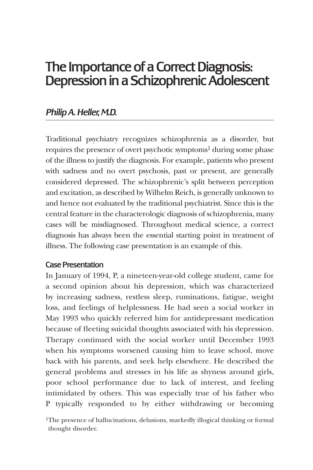# The Importance of a Correct Diagnosis: Depression in a Schizophrenic Adolescent

# *Philip A. Heller, M.D.*

Traditional psychiatry recognizes schizophrenia as a disorder, but requires the presence of overt psychotic symptoms<sup>1</sup> during some phase of the illness to justify the diagnosis. For example, patients who present with sadness and no overt psychosis, past or present, are generally considered depressed. The schizophrenic's split between perception and excitation, as described by Wilhelm Reich, is generally unknown to and hence not evaluated by the traditional psychiatrist. Since this is the central feature in the characterologic diagnosis of schizophrenia, many cases will be misdiagnosed. Throughout medical science, a correct diagnosis has always been the essential starting point in treatment of illness. The following case presentation is an example of this.

# Case Presentation

In January of 1994, P, a nineteen-year-old college student, came for a second opinion about his depression, which was characterized by increasing sadness, restless sleep, ruminations, fatigue, weight loss, and feelings of helplessness. He had seen a social worker in May 1993 who quickly referred him for antidepressant medication because of fleeting suicidal thoughts associated with his depression. Therapy continued with the social worker until December 1993 when his symptoms worsened causing him to leave school, move back with his parents, and seek help elsewhere. He described the general problems and stresses in his life as shyness around girls, poor school performance due to lack of interest, and feeling intimidated by others. This was especially true of his father who P typically responded to by either withdrawing or becoming

<sup>&</sup>lt;sup>1</sup>The presence of hallucinations, delusions, markedly illogical thinking or formal thought disorder.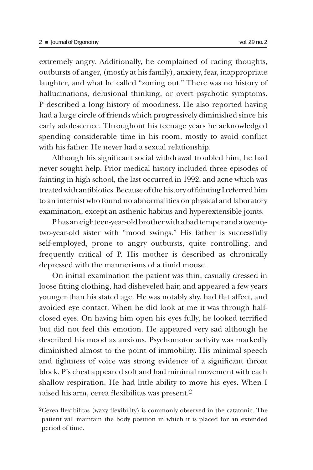extremely angry. Additionally, he complained of racing thoughts, outbursts of anger, (mostly at his family), anxiety, fear, inappropriate laughter, and what he called "zoning out." There was no history of hallucinations, delusional thinking, or overt psychotic symptoms. P described a long history of moodiness. He also reported having had a large circle of friends which progressively diminished since his early adolescence. Throughout his teenage years he acknowledged spending considerable time in his room, mostly to avoid conflict with his father. He never had a sexual relationship.

Although his significant social withdrawal troubled him, he had never sought help. Prior medical history included three episodes of fainting in high school, the last occurred in 1992, and acne which was treated with antibiotics. Because of the history of fainting I referred him to an internist who found no abnormalities on physical and laboratory examination, except an asthenic habitus and hyperextensible joints.

P has an eighteen-year-old brother with a bad temper and a twentytwo-year-old sister with "mood swings." His father is successfully self-employed, prone to angry outbursts, quite controlling, and frequently critical of P. His mother is described as chronically depressed with the mannerisms of a timid mouse.

On initial examination the patient was thin, casually dressed in loose fitting clothing, had disheveled hair, and appeared a few years younger than his stated age. He was notably shy, had flat affect, and avoided eye contact. When he did look at me it was through halfclosed eyes. On having him open his eyes fully, he looked terrified but did not feel this emotion. He appeared very sad although he described his mood as anxious. Psychomotor activity was markedly diminished almost to the point of immobility. His minimal speech and tightness of voice was strong evidence of a significant throat block. P's chest appeared soft and had minimal movement with each shallow respiration. He had little ability to move his eyes. When I raised his arm, cerea flexibilitas was present.2

<sup>2</sup>Cerea flexibilitas (waxy flexibility) is commonly observed in the catatonic. The patient will maintain the body position in which it is placed for an extended period of time.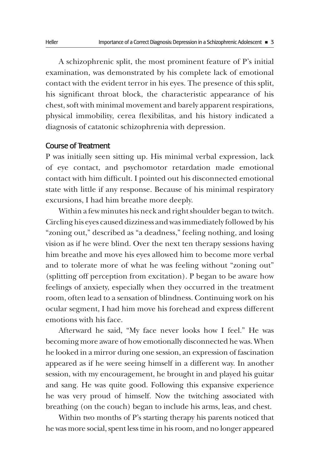A schizophrenic split, the most prominent feature of P's initial examination, was demonstrated by his complete lack of emotional contact with the evident terror in his eyes. The presence of this split, his significant throat block, the characteristic appearance of his chest, soft with minimal movement and barely apparent respirations, physical immobility, cerea flexibilitas, and his history indicated a diagnosis of catatonic schizophrenia with depression.

#### Course of Treatment

P was initially seen sitting up. His minimal verbal expression, lack of eye contact, and psychomotor retardation made emotional contact with him difficult. I pointed out his disconnected emotional state with little if any response. Because of his minimal respiratory excursions, I had him breathe more deeply.

Within a few minutes his neck and right shoulder began to twitch. Circling his eyes caused dizziness and was immediately followed by his "zoning out," described as "a deadness," feeling nothing, and losing vision as if he were blind. Over the next ten therapy sessions having him breathe and move his eyes allowed him to become more verbal and to tolerate more of what he was feeling without "zoning out" (splitting off perception from excitation). P began to be aware how feelings of anxiety, especially when they occurred in the treatment room, often lead to a sensation of blindness. Continuing work on his ocular segment, I had him move his forehead and express different emotions with his face.

Afterward he said, "My face never looks how I feel." He was becoming more aware of how emotionally disconnected he was. When he looked in a mirror during one session, an expression of fascination appeared as if he were seeing himself in a different way. In another session, with my encouragement, he brought in and played his guitar and sang. He was quite good. Following this expansive experience he was very proud of himself. Now the twitching associated with breathing (on the couch) began to include his arms, leas, and chest.

Within two months of P's starting therapy his parents noticed that he was more social, spent less time in his room, and no longer appeared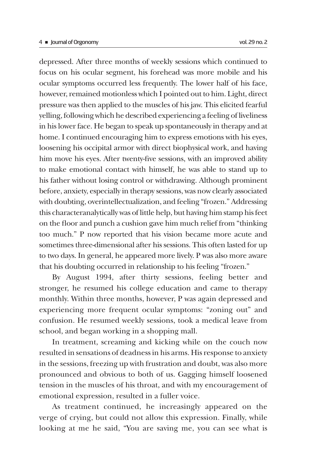depressed. After three months of weekly sessions which continued to focus on his ocular segment, his forehead was more mobile and his ocular symptoms occurred less frequently. The lower half of his face, however, remained motionless which I pointed out to him. Light, direct pressure was then applied to the muscles of his jaw. This elicited fearful yelling, following which he described experiencing a feeling of liveliness in his lower face. He began to speak up spontaneously in therapy and at home. I continued encouraging him to express emotions with his eyes, loosening his occipital armor with direct biophysical work, and having him move his eyes. After twenty-five sessions, with an improved ability to make emotional contact with himself, he was able to stand up to his father without losing control or withdrawing. Although prominent before, anxiety, especially in therapy sessions, was now clearly associated with doubting, overintellectualization, and feeling "frozen." Addressing this characteranalytically was of little help, but having him stamp his feet on the floor and punch a cushion gave him much relief from "thinking too much." P now reported that his vision became more acute and sometimes three-dimensional after his sessions. This often lasted for up to two days. In general, he appeared more lively. P was also more aware that his doubting occurred in relationship to his feeling "frozen."

By August 1994, after thirty sessions, feeling better and stronger, he resumed his college education and came to therapy monthly. Within three months, however, P was again depressed and experiencing more frequent ocular symptoms: "zoning out" and confusion. He resumed weekly sessions, took a medical leave from school, and began working in a shopping mall.

In treatment, screaming and kicking while on the couch now resulted in sensations of deadness in his arms. His response to anxiety in the sessions, freezing up with frustration and doubt, was also more pronounced and obvious to both of us. Gagging himself loosened tension in the muscles of his throat, and with my encouragement of emotional expression, resulted in a fuller voice.

As treatment continued, he increasingly appeared on the verge of crying, but could not allow this expression. Finally, while looking at me he said, "You are saving me, you can see what is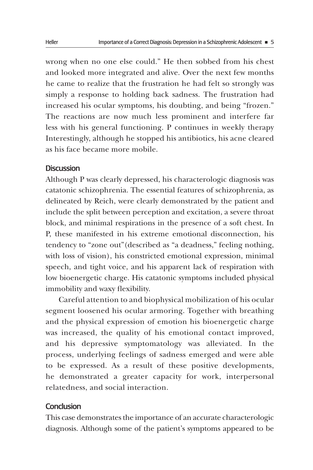wrong when no one else could." He then sobbed from his chest and looked more integrated and alive. Over the next few months he came to realize that the frustration he had felt so strongly was simply a response to holding back sadness. The frustration had increased his ocular symptoms, his doubting, and being "frozen." The reactions are now much less prominent and interfere far less with his general functioning. P continues in weekly therapy Interestingly, although he stopped his antibiotics, his acne cleared as his face became more mobile.

### **Discussion**

Although P was clearly depressed, his characterologic diagnosis was catatonic schizophrenia. The essential features of schizophrenia, as delineated by Reich, were clearly demonstrated by the patient and include the split between perception and excitation, a severe throat block, and minimal respirations in the presence of a soft chest. In P, these manifested in his extreme emotional disconnection, his tendency to "zone out"(described as "a deadness," feeling nothing, with loss of vision), his constricted emotional expression, minimal speech, and tight voice, and his apparent lack of respiration with low bioenergetic charge. His catatonic symptoms included physical immobility and waxy flexibility.

Careful attention to and biophysical mobilization of his ocular segment loosened his ocular armoring. Together with breathing and the physical expression of emotion his bioenergetic charge was increased, the quality of his emotional contact improved, and his depressive symptomatology was alleviated. In the process, underlying feelings of sadness emerged and were able to be expressed. As a result of these positive developments, he demonstrated a greater capacity for work, interpersonal relatedness, and social interaction.

## **Conclusion**

This case demonstrates the importance of an accurate characterologic diagnosis. Although some of the patient's symptoms appeared to be